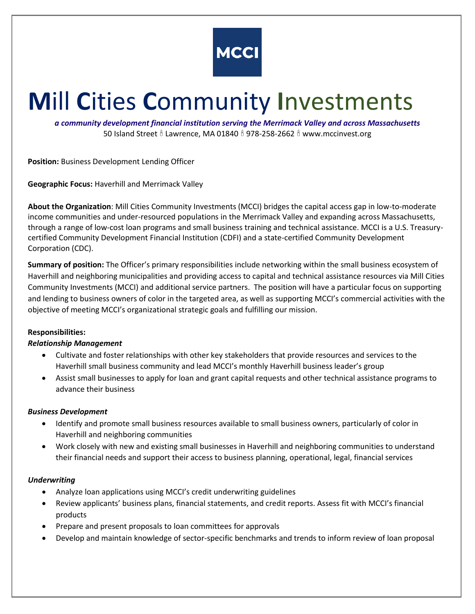

# **M**ill **C**ities **C**ommunity **I**nvestments

*a community development financial institution serving the Merrimack Valley and across Massachusetts* 50 Island Street  $\frac{8}{3}$  Lawrence, MA 01840  $\frac{8}{3}$  978-258-2662  $\frac{8}{3}$  www.mccinvest.org

**Position:** Business Development Lending Officer

**Geographic Focus:** Haverhill and Merrimack Valley

**About the Organization**: Mill Cities Community Investments (MCCI) bridges the capital access gap in low-to-moderate income communities and under-resourced populations in the Merrimack Valley and expanding across Massachusetts, through a range of low-cost loan programs and small business training and technical assistance. MCCI is a U.S. Treasurycertified Community Development Financial Institution (CDFI) and a state-certified Community Development Corporation (CDC).

**Summary of position:** The Officer's primary responsibilities include networking within the small business ecosystem of Haverhill and neighboring municipalities and providing access to capital and technical assistance resources via Mill Cities Community Investments (MCCI) and additional service partners. The position will have a particular focus on supporting and lending to business owners of color in the targeted area, as well as supporting MCCI's commercial activities with the objective of meeting MCCI's organizational strategic goals and fulfilling our mission.

## **Responsibilities:**

### *Relationship Management*

- Cultivate and foster relationships with other key stakeholders that provide resources and services to the Haverhill small business community and lead MCCI's monthly Haverhill business leader's group
- Assist small businesses to apply for loan and grant capital requests and other technical assistance programs to advance their business

### *Business Development*

- Identify and promote small business resources available to small business owners, particularly of color in Haverhill and neighboring communities
- Work closely with new and existing small businesses in Haverhill and neighboring communities to understand their financial needs and support their access to business planning, operational, legal, financial services

### *Underwriting*

- Analyze loan applications using MCCI's credit underwriting guidelines
- Review applicants' business plans, financial statements, and credit reports. Assess fit with MCCI's financial products
- Prepare and present proposals to loan committees for approvals
- Develop and maintain knowledge of sector-specific benchmarks and trends to inform review of loan proposal